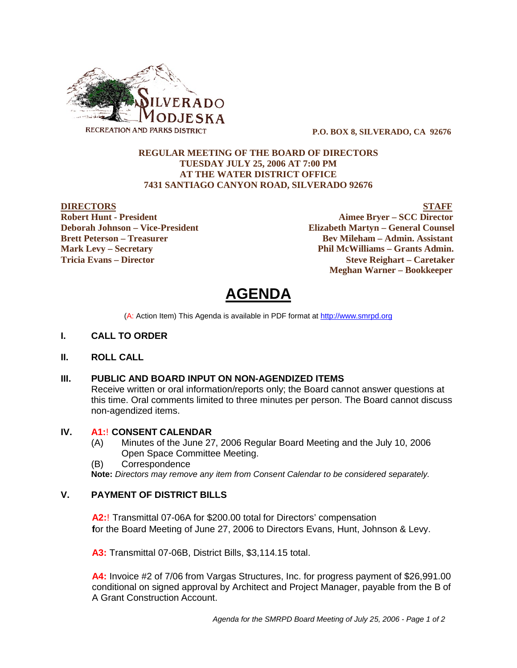

 **P.O. BOX 8, SILVERADO, CA 92676**

## **REGULAR MEETING OF THE BOARD OF DIRECTORS TUESDAY JULY 25, 2006 AT 7:00 PM AT THE WATER DISTRICT OFFICE 7431 SANTIAGO CANYON ROAD, SILVERADO 92676**

**DIRECTORS STAFF Robert Hunt - President Aimee Bryer – SCC Director Deborah Johnson – Vice-President Elizabeth Martyn – General Counsel Brett Peterson – Treasurer Serverson – Bev Mileham – Admin. Assistant Mark Levy – Secretary Phil McWilliams – Grants Admin. Tricia Evans – Director Steve Reighart – Caretaker Meghan Warner – Bookkeeper**

**AGENDA** 

(A: Action Item) This Agenda is available in PDF format at http://www.smrpd.org

- **I. CALL TO ORDER**
- **II. ROLL CALL**

## **III. PUBLIC AND BOARD INPUT ON NON-AGENDIZED ITEMS**

Receive written or oral information/reports only; the Board cannot answer questions at this time. Oral comments limited to three minutes per person. The Board cannot discuss non-agendized items.

### **IV. A1:**! **CONSENT CALENDAR**

- (A) Minutes of the June 27, 2006 Regular Board Meeting and the July 10, 2006 Open Space Committee Meeting.
- (B) Correspondence

**Note:** *Directors may remove any item from Consent Calendar to be considered separately.*

## **V. PAYMENT OF DISTRICT BILLS**

**A2:**! Transmittal 07-06A for \$200.00 total for Directors' compensation **f**or the Board Meeting of June 27, 2006 to Directors Evans, Hunt, Johnson & Levy.

**A3:** Transmittal 07-06B, District Bills, \$3,114.15 total.

**A4:** Invoice #2 of 7/06 from Vargas Structures, Inc. for progress payment of \$26,991.00 conditional on signed approval by Architect and Project Manager, payable from the B of A Grant Construction Account.